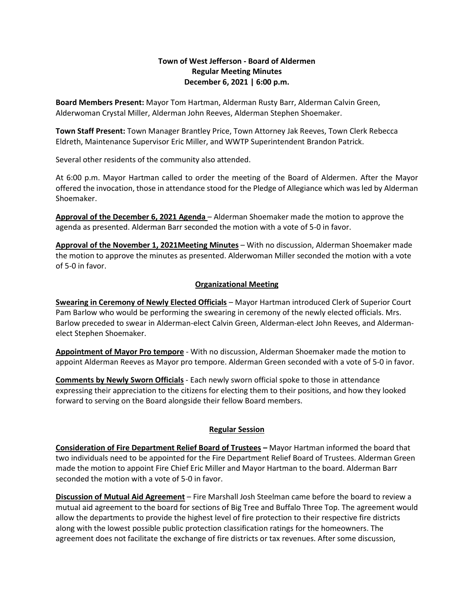## **Town of West Jefferson - Board of Aldermen Regular Meeting Minutes December 6, 2021 | 6:00 p.m.**

**Board Members Present:** Mayor Tom Hartman, Alderman Rusty Barr, Alderman Calvin Green, Alderwoman Crystal Miller, Alderman John Reeves, Alderman Stephen Shoemaker.

**Town Staff Present:** Town Manager Brantley Price, Town Attorney Jak Reeves, Town Clerk Rebecca Eldreth, Maintenance Supervisor Eric Miller, and WWTP Superintendent Brandon Patrick.

Several other residents of the community also attended.

At 6:00 p.m. Mayor Hartman called to order the meeting of the Board of Aldermen. After the Mayor offered the invocation, those in attendance stood for the Pledge of Allegiance which was led by Alderman Shoemaker.

**Approval of the December 6, 2021 Agenda** – Alderman Shoemaker made the motion to approve the agenda as presented. Alderman Barr seconded the motion with a vote of 5-0 in favor.

**Approval of the November 1, 2021Meeting Minutes** – With no discussion, Alderman Shoemaker made the motion to approve the minutes as presented. Alderwoman Miller seconded the motion with a vote of 5-0 in favor.

## **Organizational Meeting**

**Swearing in Ceremony of Newly Elected Officials** – Mayor Hartman introduced Clerk of Superior Court Pam Barlow who would be performing the swearing in ceremony of the newly elected officials. Mrs. Barlow preceded to swear in Alderman-elect Calvin Green, Alderman-elect John Reeves, and Aldermanelect Stephen Shoemaker.

**Appointment of Mayor Pro tempore** - With no discussion, Alderman Shoemaker made the motion to appoint Alderman Reeves as Mayor pro tempore. Alderman Green seconded with a vote of 5-0 in favor.

**Comments by Newly Sworn Officials** - Each newly sworn official spoke to those in attendance expressing their appreciation to the citizens for electing them to their positions, and how they looked forward to serving on the Board alongside their fellow Board members.

#### **Regular Session**

**Consideration of Fire Department Relief Board of Trustees –** Mayor Hartman informed the board that two individuals need to be appointed for the Fire Department Relief Board of Trustees. Alderman Green made the motion to appoint Fire Chief Eric Miller and Mayor Hartman to the board. Alderman Barr seconded the motion with a vote of 5-0 in favor.

**Discussion of Mutual Aid Agreement** – Fire Marshall Josh Steelman came before the board to review a mutual aid agreement to the board for sections of Big Tree and Buffalo Three Top. The agreement would allow the departments to provide the highest level of fire protection to their respective fire districts along with the lowest possible public protection classification ratings for the homeowners. The agreement does not facilitate the exchange of fire districts or tax revenues. After some discussion,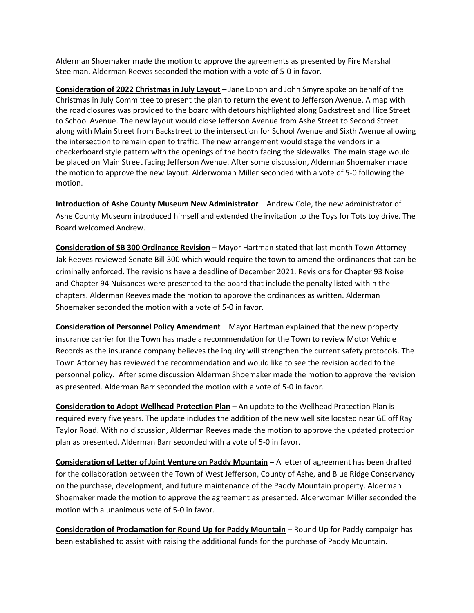Alderman Shoemaker made the motion to approve the agreements as presented by Fire Marshal Steelman. Alderman Reeves seconded the motion with a vote of 5-0 in favor.

**Consideration of 2022 Christmas in July Layout** – Jane Lonon and John Smyre spoke on behalf of the Christmas in July Committee to present the plan to return the event to Jefferson Avenue. A map with the road closures was provided to the board with detours highlighted along Backstreet and Hice Street to School Avenue. The new layout would close Jefferson Avenue from Ashe Street to Second Street along with Main Street from Backstreet to the intersection for School Avenue and Sixth Avenue allowing the intersection to remain open to traffic. The new arrangement would stage the vendors in a checkerboard style pattern with the openings of the booth facing the sidewalks. The main stage would be placed on Main Street facing Jefferson Avenue. After some discussion, Alderman Shoemaker made the motion to approve the new layout. Alderwoman Miller seconded with a vote of 5-0 following the motion.

**Introduction of Ashe County Museum New Administrator** – Andrew Cole, the new administrator of Ashe County Museum introduced himself and extended the invitation to the Toys for Tots toy drive. The Board welcomed Andrew.

**Consideration of SB 300 Ordinance Revision** – Mayor Hartman stated that last month Town Attorney Jak Reeves reviewed Senate Bill 300 which would require the town to amend the ordinances that can be criminally enforced. The revisions have a deadline of December 2021. Revisions for Chapter 93 Noise and Chapter 94 Nuisances were presented to the board that include the penalty listed within the chapters. Alderman Reeves made the motion to approve the ordinances as written. Alderman Shoemaker seconded the motion with a vote of 5-0 in favor.

**Consideration of Personnel Policy Amendment** – Mayor Hartman explained that the new property insurance carrier for the Town has made a recommendation for the Town to review Motor Vehicle Records as the insurance company believes the inquiry will strengthen the current safety protocols. The Town Attorney has reviewed the recommendation and would like to see the revision added to the personnel policy. After some discussion Alderman Shoemaker made the motion to approve the revision as presented. Alderman Barr seconded the motion with a vote of 5-0 in favor.

**Consideration to Adopt Wellhead Protection Plan** – An update to the Wellhead Protection Plan is required every five years. The update includes the addition of the new well site located near GE off Ray Taylor Road. With no discussion, Alderman Reeves made the motion to approve the updated protection plan as presented. Alderman Barr seconded with a vote of 5-0 in favor.

**Consideration of Letter of Joint Venture on Paddy Mountain** – A letter of agreement has been drafted for the collaboration between the Town of West Jefferson, County of Ashe, and Blue Ridge Conservancy on the purchase, development, and future maintenance of the Paddy Mountain property. Alderman Shoemaker made the motion to approve the agreement as presented. Alderwoman Miller seconded the motion with a unanimous vote of 5-0 in favor.

**Consideration of Proclamation for Round Up for Paddy Mountain** – Round Up for Paddy campaign has been established to assist with raising the additional funds for the purchase of Paddy Mountain.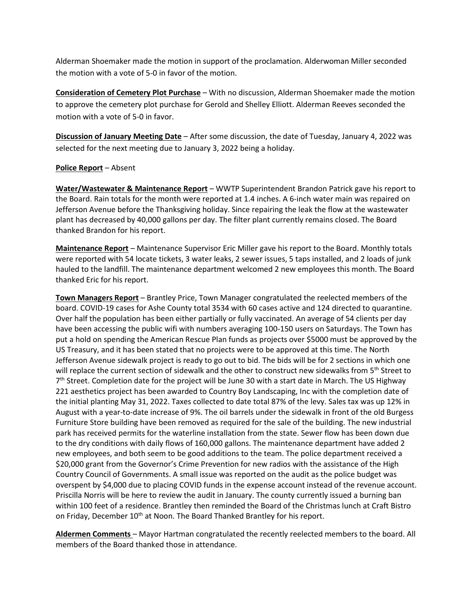Alderman Shoemaker made the motion in support of the proclamation. Alderwoman Miller seconded the motion with a vote of 5-0 in favor of the motion.

**Consideration of Cemetery Plot Purchase** – With no discussion, Alderman Shoemaker made the motion to approve the cemetery plot purchase for Gerold and Shelley Elliott. Alderman Reeves seconded the motion with a vote of 5-0 in favor.

**Discussion of January Meeting Date** – After some discussion, the date of Tuesday, January 4, 2022 was selected for the next meeting due to January 3, 2022 being a holiday.

#### **Police Report** – Absent

**Water/Wastewater & Maintenance Report** – WWTP Superintendent Brandon Patrick gave his report to the Board. Rain totals for the month were reported at 1.4 inches. A 6-inch water main was repaired on Jefferson Avenue before the Thanksgiving holiday. Since repairing the leak the flow at the wastewater plant has decreased by 40,000 gallons per day. The filter plant currently remains closed. The Board thanked Brandon for his report.

**Maintenance Report** – Maintenance Supervisor Eric Miller gave his report to the Board. Monthly totals were reported with 54 locate tickets, 3 water leaks, 2 sewer issues, 5 taps installed, and 2 loads of junk hauled to the landfill. The maintenance department welcomed 2 new employees this month. The Board thanked Eric for his report.

**Town Managers Report** – Brantley Price, Town Manager congratulated the reelected members of the board. COVID-19 cases for Ashe County total 3534 with 60 cases active and 124 directed to quarantine. Over half the population has been either partially or fully vaccinated. An average of 54 clients per day have been accessing the public wifi with numbers averaging 100-150 users on Saturdays. The Town has put a hold on spending the American Rescue Plan funds as projects over \$5000 must be approved by the US Treasury, and it has been stated that no projects were to be approved at this time. The North Jefferson Avenue sidewalk project is ready to go out to bid. The bids will be for 2 sections in which one will replace the current section of sidewalk and the other to construct new sidewalks from 5<sup>th</sup> Street to 7<sup>th</sup> Street. Completion date for the project will be June 30 with a start date in March. The US Highway 221 aesthetics project has been awarded to Country Boy Landscaping, Inc with the completion date of the initial planting May 31, 2022. Taxes collected to date total 87% of the levy. Sales tax was up 12% in August with a year-to-date increase of 9%. The oil barrels under the sidewalk in front of the old Burgess Furniture Store building have been removed as required for the sale of the building. The new industrial park has received permits for the waterline installation from the state. Sewer flow has been down due to the dry conditions with daily flows of 160,000 gallons. The maintenance department have added 2 new employees, and both seem to be good additions to the team. The police department received a \$20,000 grant from the Governor's Crime Prevention for new radios with the assistance of the High Country Council of Governments. A small issue was reported on the audit as the police budget was overspent by \$4,000 due to placing COVID funds in the expense account instead of the revenue account. Priscilla Norris will be here to review the audit in January. The county currently issued a burning ban within 100 feet of a residence. Brantley then reminded the Board of the Christmas lunch at Craft Bistro on Friday, December 10<sup>th</sup> at Noon. The Board Thanked Brantley for his report.

**Aldermen Comments** – Mayor Hartman congratulated the recently reelected members to the board. All members of the Board thanked those in attendance.